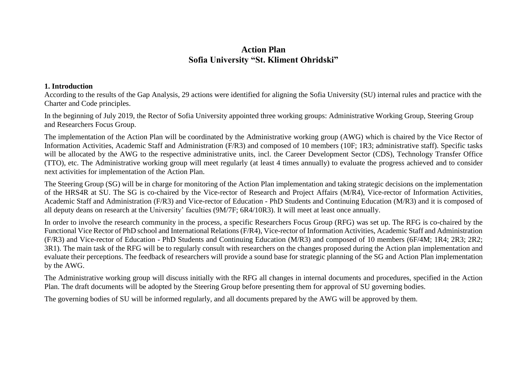## **Action Plan Sofia University "St. Kliment Ohridski"**

### **1. Introduction**

According to the results of the Gap Analysis, 29 actions were identified for aligning the Sofia University (SU) internal rules and practice with the Charter and Code principles.

In the beginning of July 2019, the Rector of Sofia University appointed three working groups: Administrative Working Group, Steering Group and Researchers Focus Group.

The implementation of the Action Plan will be coordinated by the Administrative working group (AWG) which is chaired by the Vice Rector of Information Activities, Academic Staff and Administration (F/R3) and composed of 10 members (10F; 1R3; administrative staff). Specific tasks will be allocated by the AWG to the respective administrative units, incl. the Career Development Sector (CDS), Technology Transfer Office (TTO), etc. The Administrative working group will meet regularly (at least 4 times annually) to evaluate the progress achieved and to consider next activities for implementation of the Action Plan.

The Steering Group (SG) will be in charge for monitoring of the Action Plan implementation and taking strategic decisions on the implementation of the HRS4R at SU. The SG is co-chaired by the Vice-rector of Research and Project Affairs (M/R4), Vice-rector of Information Activities, Academic Staff and Administration (F/R3) and Vice-rector of Education - PhD Students and Continuing Education (M/R3) and it is composed of all deputy deans on research at the University' faculties (9M/7F; 6R4/10R3). It will meet at least once annually.

In order to involve the research community in the process, a specific Researchers Focus Group (RFG) was set up. The RFG is co-chaired by the Functional Vice Rector of PhD school and International Relations (F/R4), Vice-rector of Information Activities, Academic Staff and Administration (F/R3) and Vice-rector of Education - PhD Students and Continuing Education (M/R3) and composed of 10 members (6F/4M; 1R4; 2R3; 2R2; 3R1). The main task of the RFG will be to regularly consult with researchers on the changes proposed during the Action plan implementation and evaluate their perceptions. The feedback of researchers will provide a sound base for strategic planning of the SG and Action Plan implementation by the AWG.

The Administrative working group will discuss initially with the RFG all changes in internal documents and procedures, specified in the Action Plan. The draft documents will be adopted by the Steering Group before presenting them for approval of SU governing bodies.

The governing bodies of SU will be informed regularly, and all documents prepared by the AWG will be approved by them.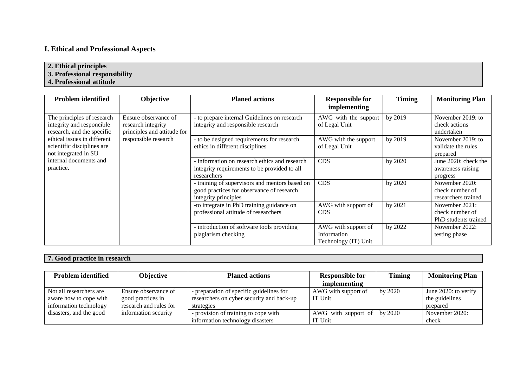# **I. Ethical and Professional Aspects**

### **2. Ethical principles**

**3. Professional responsibility**

**4. Professional attitude**

| <b>Problem identified</b>   | Objective                   | <b>Planed actions</b>                          | <b>Responsible for</b> | <b>Timing</b> | <b>Monitoring Plan</b> |
|-----------------------------|-----------------------------|------------------------------------------------|------------------------|---------------|------------------------|
|                             |                             |                                                | implementing           |               |                        |
| The principles of research  | Ensure observance of        | - to prepare internal Guidelines on research   | AWG with the support   | by 2019       | November 2019: to      |
| integrity and responcible   | research integrity          | integrity and responsible research             | of Legal Unit          |               | check actions          |
| research, and the specific  | principles and attitude for |                                                |                        |               | undertaken             |
| ethical issues in different | responsible research        | - to be designed requirements for research     | AWG with the support   | by 2019       | November 2019: to      |
| scientific disciplines are  |                             | ethics in different disciplines                | of Legal Unit          |               | validate the rules     |
| not integrated in SU        |                             |                                                |                        |               | prepared               |
| internal documents and      |                             | - information on research ethics and research  | <b>CDS</b>             | by 2020       | June 2020: check the   |
| practice.                   |                             | integrity requirements to be provided to all   |                        |               | awareness raising      |
|                             |                             | researchers                                    |                        |               | progress               |
|                             |                             | - training of supervisors and mentors based on | <b>CDS</b>             | by 2020       | November 2020:         |
|                             |                             | good practices for observance of research      |                        |               | check number of        |
|                             |                             | integrity principles                           |                        |               | researchers trained    |
|                             |                             | -to integrate in PhD training guidance on      | AWG with support of    | by 2021       | November 2021:         |
|                             |                             | professional attitude of researchers           | <b>CDS</b>             |               | check number of        |
|                             |                             |                                                |                        |               | PhD students trained   |
|                             |                             | - introduction of software tools providing     | AWG with support of    | by 2022       | November 2022:         |
|                             |                             | plagiarism checking                            | Information            |               | testing phase          |
|                             |                             |                                                | Technology (IT) Unit   |               |                        |

## **7. Good practice in research**

| Problem identified      | <b>Objective</b>       | <b>Planed actions</b>                     | <b>Responsible for</b> | <b>Timing</b> | <b>Monitoring Plan</b> |
|-------------------------|------------------------|-------------------------------------------|------------------------|---------------|------------------------|
|                         |                        |                                           | implementing           |               |                        |
| Not all researchers are | Ensure observance of   | - preparation of specific guidelines for  | AWG with support of    | by 2020       | June 2020: to verify   |
| aware how to cope with  | good practices in      | researchers on cyber security and back-up | IT Unit                |               | the guidelines         |
| information technology  | research and rules for | strategies                                |                        |               | prepared               |
| disasters, and the good | information security   | - provision of training to cope with      | AWG with support of    | by 2020       | November 2020:         |
|                         |                        | information technology disasters          | IT Unit                |               | check                  |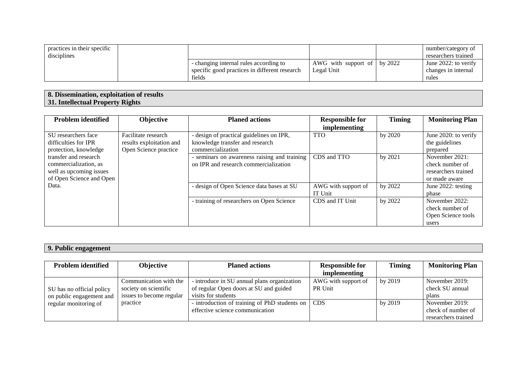| practices in their specific<br>disciplines |                                                                                                   |                                                   | number/category of<br>researchers trained            |
|--------------------------------------------|---------------------------------------------------------------------------------------------------|---------------------------------------------------|------------------------------------------------------|
|                                            | - changing internal rules according to<br>specific good practices in different research<br>fields | AWG with support of $\vert$ by 2022<br>Legal Unit | June 2022: to verify<br>changes in internal<br>rules |

#### **8. Dissemination, exploitation of results 31. Intellectual Property Rights**

| <b>Problem identified</b>                                                                             | Objective                                                                | <b>Planed actions</b>                                                                            | <b>Responsible for</b>         | <b>Timing</b> | <b>Monitoring Plan</b>                                                    |
|-------------------------------------------------------------------------------------------------------|--------------------------------------------------------------------------|--------------------------------------------------------------------------------------------------|--------------------------------|---------------|---------------------------------------------------------------------------|
|                                                                                                       |                                                                          |                                                                                                  | <i>implementing</i>            |               |                                                                           |
| SU researchers face<br>difficulties for IPR<br>protection, knowledge                                  | Facilitate research<br>results exploitation and<br>Open Science practice | - design of practical guidelines on IPR,<br>knowledge transfer and research<br>commercialization | <b>TTO</b>                     | by 2020       | June 2020: to verify<br>the guidelines<br>prepared                        |
| transfer and research<br>commercialization, as<br>well as upcoming issues<br>of Open Science and Open |                                                                          | - seminars on awareness raising and training<br>on IPR and research commercialization            | CDS and TTO                    | by 2021       | November 2021:<br>check number of<br>researchers trained<br>or made aware |
| Data.                                                                                                 |                                                                          | - design of Open Science data bases at SU                                                        | AWG with support of<br>IT Unit | by 2022       | June 2022: testing<br>phase                                               |
|                                                                                                       |                                                                          | - training of researchers on Open Science                                                        | CDS and IT Unit                | by 2022       | November 2022:<br>check number of<br>Open Science tools<br>users          |

| 'ublic engagement'<br>$        -$ |  |
|-----------------------------------|--|

| <b>Problem identified</b> | Objective                | <b>Planed actions</b>                         | <b>Responsible for</b> | <b>Timing</b> | <b>Monitoring Plan</b> |
|---------------------------|--------------------------|-----------------------------------------------|------------------------|---------------|------------------------|
|                           |                          |                                               | implementing           |               |                        |
|                           | Communication with the   | - introduce in SU annual plans organization   | AWG with support of    | by 2019       | November 2019:         |
| SU has no official policy | society on scientific    | of regular Open doors at SU and guided        | PR Unit                |               | check SU annual        |
| on public engagement and  | issues to become regular | visits for students                           |                        |               | plans                  |
| regular monitoring of     | practice                 | - introduction of training of PhD students on | <b>CDS</b>             | by 2019       | November 2019:         |
|                           |                          | effective science communication               |                        |               | check of number of     |
|                           |                          |                                               |                        |               | researchers trained    |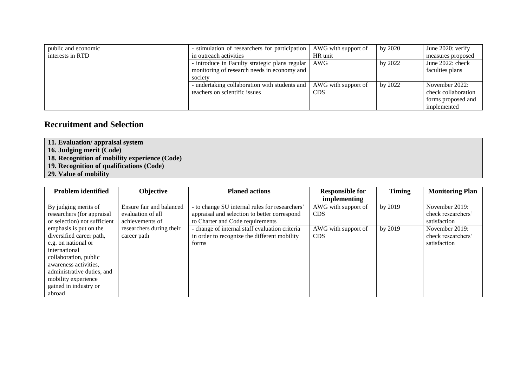| public and economic | - stimulation of researchers for participation       | AWG with support of | by 2020 | June 2020: verify   |
|---------------------|------------------------------------------------------|---------------------|---------|---------------------|
| interests in RTD    | in outreach activities                               | HR unit             |         | measures proposed   |
|                     | - introduce in Faculty strategic plans regular   AWG |                     | by 2022 | June 2022: check    |
|                     | monitoring of research needs in economy and          |                     |         | faculties plans     |
|                     | society                                              |                     |         |                     |
|                     | - undertaking collaboration with students and        | AWG with support of | by 2022 | November 2022:      |
|                     | teachers on scientific issues                        | <b>CDS</b>          |         | check collaboration |
|                     |                                                      |                     |         | forms proposed and  |
|                     |                                                      |                     |         | implemented         |

## **Recruitment and Selection**

**11. Evaluation/ appraisal system**

- **16. Judging merit (Code)**
- **18. Recognition of mobility experience (Code)**
- **19. Recognition of qualifications (Code)**
- **29. Value of mobility**

| <b>Problem identified</b>    | Objective                | <b>Planed actions</b>                          | <b>Responsible for</b> | <b>Timing</b> | <b>Monitoring Plan</b> |
|------------------------------|--------------------------|------------------------------------------------|------------------------|---------------|------------------------|
|                              |                          |                                                | <i>implementing</i>    |               |                        |
| By judging merits of         | Ensure fair and balanced | - to change SU internal rules for researchers' | AWG with support of    | by 2019       | November 2019:         |
| researchers (for appraisal   | evaluation of all        | appraisal and selection to better correspond   | <b>CDS</b>             |               | check researchers'     |
| or selection) not sufficient | achievements of          | to Charter and Code requirements               |                        |               | satisfaction           |
| emphasis is put on the       | researchers during their | - change of internal staff evaluation criteria | AWG with support of    | by 2019       | November 2019:         |
| diversified career path,     | career path              | in order to recognize the different mobility   | <b>CDS</b>             |               | check researchers'     |
| e.g. on national or          |                          | forms                                          |                        |               | satisfaction           |
| international                |                          |                                                |                        |               |                        |
| collaboration, public        |                          |                                                |                        |               |                        |
| awareness activities.        |                          |                                                |                        |               |                        |
| administrative duties, and   |                          |                                                |                        |               |                        |
| mobility experience          |                          |                                                |                        |               |                        |
| gained in industry or        |                          |                                                |                        |               |                        |
| abroad                       |                          |                                                |                        |               |                        |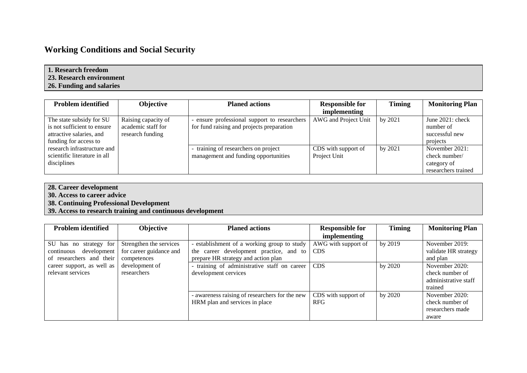# **Working Conditions and Social Security**

| 1. Research freedom      |  |
|--------------------------|--|
| 23. Research environment |  |
| 26. Funding and salaries |  |

| <b>Problem identified</b>    | <b>Objective</b>    | <b>Planed actions</b>                        | <b>Responsible for</b> | <b>Timing</b> | <b>Monitoring Plan</b> |
|------------------------------|---------------------|----------------------------------------------|------------------------|---------------|------------------------|
|                              |                     |                                              | <i>implementing</i>    |               |                        |
| The state subsidy for SU     | Raising capacity of | - ensure professional support to researchers | AWG and Project Unit   | by 2021       | June $2021$ : check    |
| is not sufficient to ensure  | academic staff for  | for fund raising and projects preparation    |                        |               | number of              |
| attractive salaries, and     | research funding    |                                              |                        |               | successful new         |
| funding for access to        |                     |                                              |                        |               | projects               |
| research infrastructure and  |                     | - training of researchers on project         | CDS with support of    | by 2021       | November 2021:         |
| scientific literature in all |                     | management and funding opportunities         | Project Unit           |               | check number/          |
| disciplines                  |                     |                                              |                        |               | category of            |
|                              |                     |                                              |                        |               | researchers trained    |

- **28. Career development**
- **30. Access to career advice**
- **38. Continuing Professional Development**
- **39. Access to research training and continuous development**

| <b>Problem identified</b>  | Objective               | <b>Planed actions</b>                          | <b>Responsible for</b> | <b>Timing</b> | <b>Monitoring Plan</b> |
|----------------------------|-------------------------|------------------------------------------------|------------------------|---------------|------------------------|
|                            |                         |                                                | <i>implementing</i>    |               |                        |
| SU has no strategy for     | Strengthen the services | - establishment of a working group to study    | AWG with support of    | by 2019       | November 2019:         |
| continuous development     | for career guidance and | the career development practice, and to        | <b>CDS</b>             |               | validate HR strategy   |
| of researchers and their   | competences             | prepare HR strategy and action plan            |                        |               | and plan               |
| career support, as well as | development of          | - training of administrative staff on career   | <b>CDS</b>             | by 2020       | November 2020:         |
| relevant services          | researchers             | development cervices                           |                        |               | check number of        |
|                            |                         |                                                |                        |               | administrative staff   |
|                            |                         |                                                |                        |               | trained                |
|                            |                         | - awareness raising of researchers for the new | CDS with support of    | by 2020       | November 2020:         |
|                            |                         | HRM plan and services in place                 | <b>RFG</b>             |               | check number of        |
|                            |                         |                                                |                        |               | researchers made       |
|                            |                         |                                                |                        |               | aware                  |